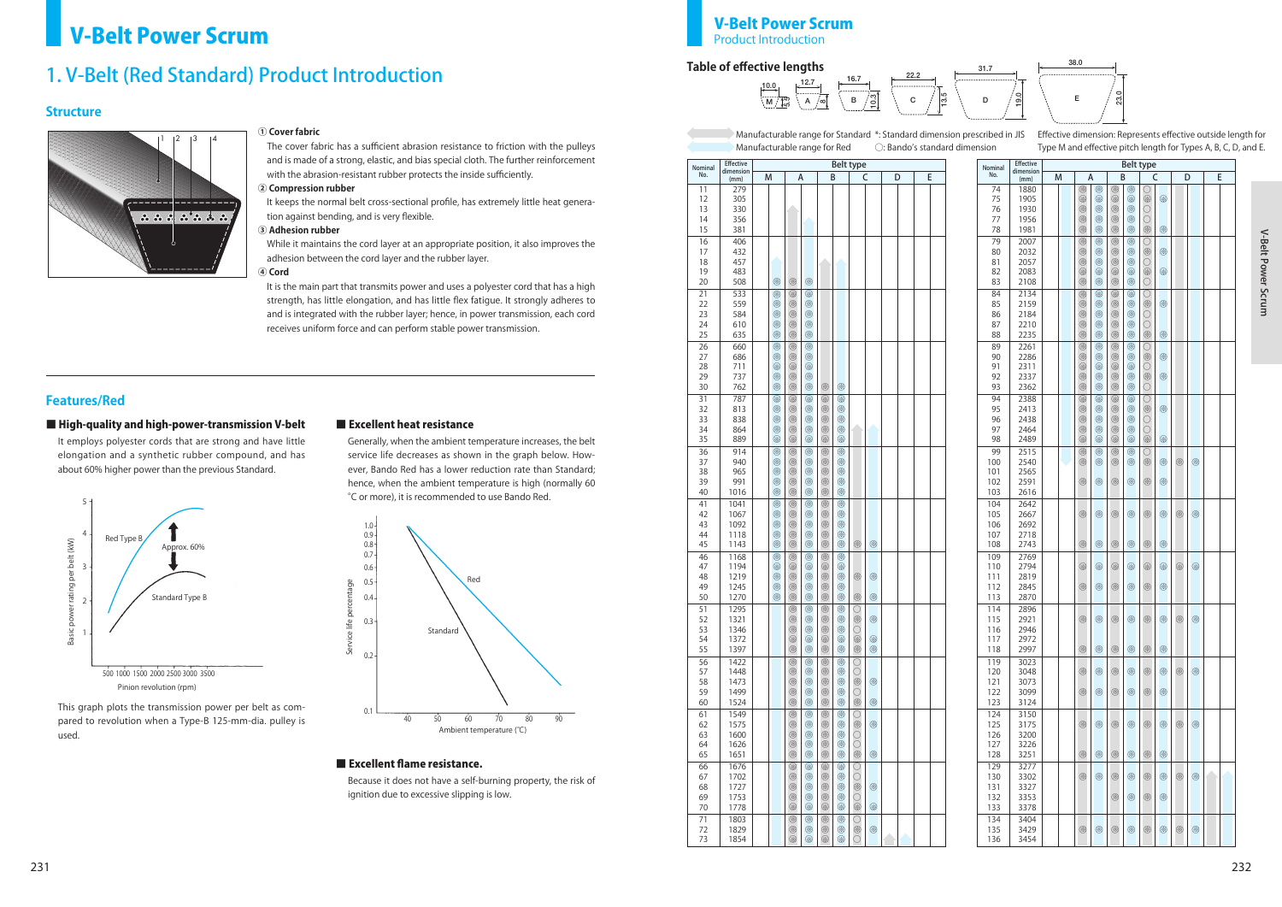







### **Structure**

### **Features/Red**

### ■ High-quality and high-power-transmission V-belt

#### **① Cover fabric**

The cover fabric has a sufficient abrasion resistance to friction with the pulleys and is made of a strong, elastic, and bias special cloth. The further reinforcement with the abrasion-resistant rubber protects the inside sufficiently.

#### **② Compression rubber**

It keeps the normal belt cross-sectional profile, has extremely little heat generation against bending, and is very flexible.

#### **③ Adhesion rubber**

While it maintains the cord layer at an appropriate position, it also improves the adhesion between the cord layer and the rubber layer.

**④ Cord**

It is the main part that transmits power and uses a polyester cord that has a high strength, has little elongation, and has little flex fatigue. It strongly adheres to and is integrated with the rubber layer; hence, in power transmission, each cord receives uniform force and can perform stable power transmission.

### **V-Belt Power Scrum** Product **Product Introduction**

### 1. V-Belt (Red Standard) Product Introduction



It employs polyester cords that are strong and have little elongation and a synthetic rubber compound, and has about 60% higher power than the previous Standard.

This graph plots the transmission power per belt as compared to revolution when a Type-B 125-mm-dia. pulley is used.

### ■ Excellent heat resistance

Generally, when the ambient temperature increases, the belt service life decreases as shown in the graph below. However, Bando Red has a lower reduction rate than Standard; hence, when the ambient temperature is high (normally 60 °C or more), it is recommended to use Bando Red.

Because it does not have a self-burning property, the risk of ignition due to excessive slipping is low.





#### ■ Excellent flame resistance.

### **Table of effective lengths**

| Nominal                          | Effective                              |                       | <b>Belt type</b>                               |                                                |                                           |   |   |  |  |  |
|----------------------------------|----------------------------------------|-----------------------|------------------------------------------------|------------------------------------------------|-------------------------------------------|---|---|--|--|--|
| No.                              | dimension<br>(mm)                      | M                     | А                                              | B                                              | C                                         | D | E |  |  |  |
| 11<br>12<br>13<br>14<br>15       | 279<br>305<br>330<br>356<br>381        |                       |                                                |                                                |                                           |   |   |  |  |  |
| 16<br>17<br>18<br>19<br>20<br>21 | 406<br>432<br>457<br>483<br>508<br>533 | ⊛<br>⊗                | ⊛<br>⊗<br>⊗<br>⊗                               |                                                |                                           |   |   |  |  |  |
| 22<br>23<br>24<br>25<br>26       | 559<br>584<br>610<br>635<br>660        | ⊗<br>⊗<br>⊗<br>⊛<br>⊛ | ⊗<br>⊗<br>⊗<br>⊗<br>⊗<br>⊗<br>⊗<br>⊛<br>⊛<br>⊗ |                                                |                                           |   |   |  |  |  |
| 27<br>28<br>29<br>30             | 686<br>711<br>737<br>762               | ⊗<br>⊗<br>⊗<br>⊛      | ⊗<br>⊗<br>⊛<br>⊗<br>⊗<br>⊗<br>⊗<br>⊗           | ⊗<br>⊗                                         |                                           |   |   |  |  |  |
| 31<br>32<br>33<br>34<br>35       | 787<br>813<br>838<br>864<br>889        | ⊗<br>⊗<br>⊗<br>⊗<br>⊛ | ⊗<br>⊗<br>⊗<br>⊗<br>⊗<br>⊗<br>⊗<br>⊗<br>⊗<br>⊗ | ⊗<br>⊗<br>⊗<br>⊗<br>⊗<br>⊗<br>⊗<br>⊗<br>⊗<br>⊗ |                                           |   |   |  |  |  |
| 36<br>37<br>38<br>39<br>40       | 914<br>940<br>965<br>991<br>1016       | ⊗<br>⊗<br>⊗<br>⊗<br>⊗ | ⊗<br>⊗<br>⊗<br>⊗<br>⊗<br>⊗<br>⊗<br>⊗<br>⊗<br>⊗ | ⊗<br>⊗<br>⊗<br>⊗<br>⊗<br>⊗<br>⊗<br>⊗<br>⊗<br>⊗ |                                           |   |   |  |  |  |
| 41<br>42<br>43<br>44<br>45       | 1041<br>1067<br>1092<br>1118<br>1143   | ⊗<br>⊗<br>⊗<br>⊗<br>⊗ | ⊗<br>⊗<br>⊗<br>⊗<br>⊗<br>⊗<br>⊛<br>⊗<br>⊗<br>⊗ | ⊗<br>⊗<br>⊗<br>⊗<br>⊗<br>⊗<br>⊗<br>⊗<br>⊗<br>⊗ | ❀<br>⊗                                    |   |   |  |  |  |
| 46<br>47<br>48<br>49<br>50       | 1168<br>1194<br>1219<br>1245<br>1270   | ⊛<br>⊗<br>⊗<br>⊗<br>⊗ | ⊗<br>⊛<br>⊗<br>⊛<br>⊗<br>⊗<br>⊗<br>⊗<br>⊗<br>⊗ | ⊗<br>⊗<br>⊗<br>⊗<br>⊗<br>⊗<br>⊗<br>⊗<br>⊗<br>⊗ | ⊗<br>⊗<br>⊗<br>⊗                          |   |   |  |  |  |
| 51<br>52<br>53<br>54<br>55       | 1295<br>1321<br>1346<br>1372<br>1397   |                       | ⊗<br>⊗<br>⊗<br>⊗<br>⊗<br>⊗<br>❀<br>❀<br>⊗<br>⊛ | ⊗<br>⊗<br>⊗<br>⊗<br>⊗<br>⊗<br>❀<br>⊗<br>⊗<br>⊗ | O<br>⊗<br>⊗<br>O<br>⊗<br>⊗<br>⊗<br>⊛      |   |   |  |  |  |
| 56<br>57<br>58<br>59<br>60       | 1422<br>1448<br>1473<br>1499<br>1524   |                       | ⊗<br>⊗<br>⊗<br>⊗<br>⊗<br>⊗<br>⊗<br>⊗<br>⊗<br>⊗ | ⊗<br>⊗<br>⊗<br>⊗<br>⊗<br>⊗<br>⊗<br>⊗<br>⊗<br>⊗ | O<br>O<br>⊗<br>⊗<br>O<br>❀<br>⊗           |   |   |  |  |  |
| 61<br>62<br>63<br>64<br>65       | 1549<br>1575<br>1600<br>1626<br>1651   |                       | ⊗<br>⊗<br>⊗<br>⊗<br>⊗<br>⊗<br>⊗<br>⊗<br>⊛<br>⊗ | ⊗<br>⊗<br>⊗<br>⊗<br>⊗<br>⊗<br>⊗<br>⊗<br>⊗<br>⊗ | O<br>$\circledR$<br>⊗<br>O<br>O<br>⊗<br>⊛ |   |   |  |  |  |
| 66<br>67<br>68<br>69<br>70       | 1676<br>1702<br>1727<br>1753<br>1778   |                       | ⊗<br>⊛<br>⊗<br>⊗<br>⊗<br>⊗<br>⊗<br>⊗<br>⊗<br>⊗ | ⊗<br>⊗<br>⊗<br>⊗<br>⊗<br>⊗<br>⊗<br>⊗<br>⊗<br>⊗ | O<br>O<br>⊛<br>⊗<br>O<br>⊗<br>⊗           |   |   |  |  |  |
| 71<br>72<br>73                   | 1803<br>1829<br>1854                   |                       | ⊗<br>⊛<br>⊗<br>⊛<br>⊗<br>⊗                     | ⊗<br>⊗<br>⊗<br>⊗<br>⊗<br>⊗                     | О<br>⊗<br>⊗<br>O                          |   |   |  |  |  |

Manufacturable range for Standard \*: Standard dimension prescribed in JIS Manufacturable range for Red ○: Bando's standard dimension

Effective dimension: Represents effective outside length for Type M and effective pitch length for Types A, B, C, D, and E.

| Nominal | <b>Effective</b><br>dimension |   | <b>Belt type</b> |                |   |   |             |   |   |   |  |   |  |
|---------|-------------------------------|---|------------------|----------------|---|---|-------------|---|---|---|--|---|--|
| No.     | (mm)                          | M |                  | A              |   | B |             | C |   | D |  | E |  |
| 74      | 1880                          |   | ⊗                | ⊗              | ⊛ | ⊗ |             |   |   |   |  |   |  |
| 75      | 1905                          |   | ⊗                | ⊗              | ⊗ | ⊗ | ⊗           | ⊗ |   |   |  |   |  |
| 76      | 1930                          |   | ⊗                | ⊗              | ⊗ | ⊗ | O           |   |   |   |  |   |  |
| 77      | 1956                          |   | ⊗                | $^{\circledR}$ | ⊗ | ⊗ | O           |   |   |   |  |   |  |
| 78      | 1981                          |   | ⊗                | ⊗              | ⊗ | ⊗ | ⊗           | ⊗ |   |   |  |   |  |
| 79      | 2007                          |   | ⊗                | ⊗              | ⊗ | ⊗ | О           |   |   |   |  |   |  |
| 80      | 2032                          |   | ⊗                | ⊗              | ⊗ | ⊗ | ⊗           | ⊗ |   |   |  |   |  |
| 81      | 2057                          |   | ⊗                | ⊗              | ⊗ | ⊗ | O           |   |   |   |  |   |  |
| 82      | 2083                          |   | ⊗                | ⊗              | ⊛ | ⊗ | ⊗           | ⊗ |   |   |  |   |  |
| 83      | 2108                          |   | ⊗                | ⊗              | ⊗ | ⊗ | О           |   |   |   |  |   |  |
| 84      | 2134                          |   | ⊗                | ⊗              | ⊗ | ⊗ | $\bigcirc$  |   |   |   |  |   |  |
| 85      | 2159                          |   | ⊗                | ⊗              | ⊗ | ⊗ | ⊗           | ⊗ |   |   |  |   |  |
| 86      | 2184                          |   | ⊗                | ⊗              | ⊗ | ⊗ | O           |   |   |   |  |   |  |
| 87      | 2210                          |   | ⊗                | ⊗              | ⊛ | ⊗ | O           |   |   |   |  |   |  |
| 88      | 2235                          |   | ⊗                | ⊗              | ⊗ | ⊗ | ⊗           | ⊗ |   |   |  |   |  |
|         |                               |   |                  |                |   |   |             |   |   |   |  |   |  |
| 89      | 2261                          |   | ⊗                | ⊗              | ⊗ | ⊗ | O           |   |   |   |  |   |  |
| 90      | 2286                          |   | ⊗                | ⊗              | ⊛ | ⊗ | ⊗           | ⊗ |   |   |  |   |  |
| 91      | 2311                          |   | ⊗                | ⊗              | ⊗ | ⊗ | O           |   |   |   |  |   |  |
| 92      | 2337                          |   | ⊗                | ⊗              | ⊛ | ⊗ | $\circledR$ | ⊗ |   |   |  |   |  |
| 93      | 2362                          |   | ⊗                | ⊗              | ⊗ | ⊗ | O           |   |   |   |  |   |  |
| 94      | 2388                          |   | ⊗                | ⊗              | ⊗ | ⊗ | $\bigcirc$  |   |   |   |  |   |  |
| 95      | 2413                          |   | ⊗                | ⊗              | ⊛ | ⊗ | $\circledR$ | ⊗ |   |   |  |   |  |
| 96      | 2438                          |   | ⊗                | ⊗              | ⊗ | ⊗ | O           |   |   |   |  |   |  |
| 97      | 2464                          |   | ⊗                | ⊗              | ⊗ | ⊗ | O           |   |   |   |  |   |  |
| 98      | 2489                          |   | ⊗                | ⊗              | ⊗ | ⊗ | ⊗           | ⊗ |   |   |  |   |  |
| 99      | 2515                          |   | ⊗                | $^{\circledR}$ | ⊗ | ⊗ | О           |   |   |   |  |   |  |
| 100     | 2540                          |   | ⊗                | $^{\circledR}$ | ⊛ | ⊗ | ⊗           | ⊗ | ⊗ | ⊗ |  |   |  |
| 101     | 2565                          |   |                  |                |   |   |             |   |   |   |  |   |  |
| 102     | 2591                          |   | ⊗                | ⊗              | ⊗ | ⊗ | ⊗           | ⊗ |   |   |  |   |  |
| 103     | 2616                          |   |                  |                |   |   |             |   |   |   |  |   |  |
| 104     | 2642                          |   |                  |                |   |   |             |   |   |   |  |   |  |
| 105     | 2667                          |   | ⊗                | ⊗              | ⊛ | ⊗ | ⊗           | ⊗ | ⊗ | ⊗ |  |   |  |
| 106     | 2692                          |   |                  |                |   |   |             |   |   |   |  |   |  |
| 107     | 2718                          |   |                  |                |   |   |             |   |   |   |  |   |  |
| 108     | 2743                          |   | ⊗                | ⊗              | ⊗ | ⊗ | ⊗           | ⊗ |   |   |  |   |  |
| 109     | 2769                          |   |                  |                |   |   |             |   |   |   |  |   |  |
| 110     | 2794                          |   | ⊗                | ⊗              | ⊛ | ⊗ | ⊗           | ⊗ | ⊗ | ⊗ |  |   |  |
| 111     | 2819                          |   |                  |                |   |   |             |   |   |   |  |   |  |
| 112     | 2845                          |   | ⊗                | ⊗              | ⊛ | ⊗ | ⊗           | ⊗ |   |   |  |   |  |
| 113     | 2870                          |   |                  |                |   |   |             |   |   |   |  |   |  |
| 114     | 2896                          |   |                  |                |   |   |             |   |   |   |  |   |  |
| 115     | 2921                          |   | ⊗                | ⊛              | ⊛ | ⊗ | ⊗           | ⊗ | ⊗ | ⊗ |  |   |  |
| 116     | 2946                          |   |                  |                |   |   |             |   |   |   |  |   |  |
| 117     | 2972                          |   |                  |                |   |   |             |   |   |   |  |   |  |
| 118     | 2997                          |   | ⊗                | ⊛              | ⊗ | ⊗ | ⊗           | ⊗ |   |   |  |   |  |
| 119     | 3023                          |   |                  |                |   |   |             |   |   |   |  |   |  |
| 120     | 3048                          |   | ⊗                | ⊗              | ⊗ | ⊗ | ⊗           | ⊗ | ⊗ | ⊗ |  |   |  |
| 121     | 3073                          |   |                  |                |   |   |             |   |   |   |  |   |  |
| 122     | 3099                          |   | ⊗                | ⊗              | ⊗ | ⊗ | ⊗           | ⊗ |   |   |  |   |  |
| 123     | 3124                          |   |                  |                |   |   |             |   |   |   |  |   |  |
| 124     | 3150                          |   |                  |                |   |   |             |   |   |   |  |   |  |
| 125     | 3175                          |   | ⊗                | ⊗              | ⊗ | ⊗ | ⊗           | ⊗ | ⊗ | ⊗ |  |   |  |
| 126     | 3200                          |   |                  |                |   |   |             |   |   |   |  |   |  |
| 127     | 3226                          |   |                  |                |   |   |             |   |   |   |  |   |  |
| 128     | 3251                          |   | ⊗                | ⊗              | ⊗ | ⊗ | ⊗           | ⊗ |   |   |  |   |  |
| 129     | 3277                          |   |                  |                |   |   |             |   |   |   |  |   |  |
| 130     | 3302                          |   | ⊗                | ⊗              | ⊗ | ⊗ | ⊗           | ⊗ | ⊗ | ⊗ |  |   |  |
| 131     | 3327                          |   |                  |                |   |   |             |   |   |   |  |   |  |
| 132     | 3353                          |   |                  |                | ⊗ | ⊗ | ⊗           | ⊗ |   |   |  |   |  |
| 133     | 3378                          |   |                  |                |   |   |             |   |   |   |  |   |  |
| 134     | 3404                          |   |                  |                |   |   |             |   |   |   |  |   |  |
| 135     | 3429                          |   | ⊗                | ⊛              | ⊛ | ⊛ | ⊗           | ⊗ | ⊗ | ⊗ |  |   |  |
|         |                               |   |                  |                |   |   |             |   |   |   |  |   |  |
| 136     | 3454                          |   |                  |                |   |   |             |   |   |   |  |   |  |

## V-Belt Power Scrum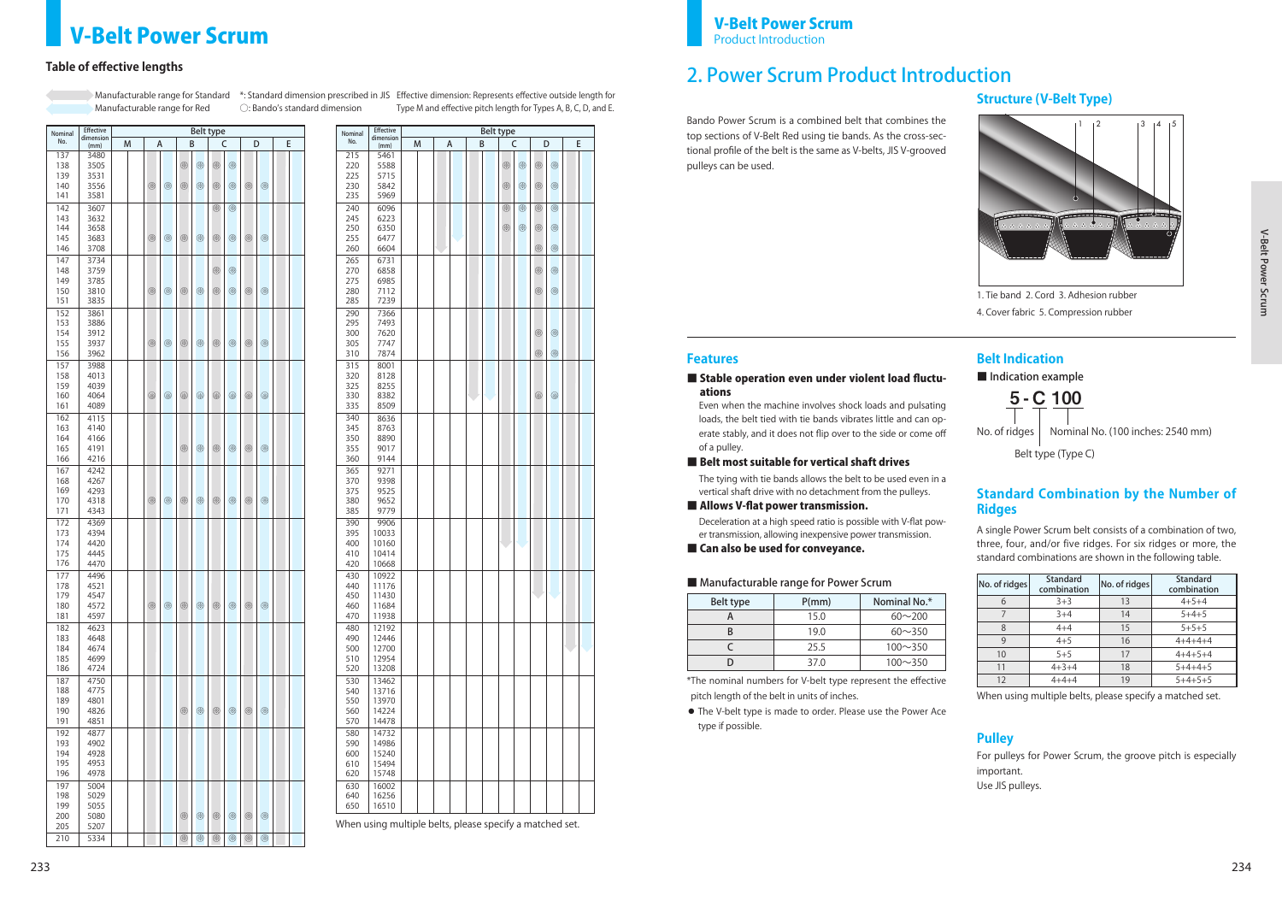$$
\underline{\mathbf{5}}\text{-}\underline{\mathbf{C}}\ \underline{\mathbf{100}}
$$

No. of ridges  $\vert$  Nominal No. (100 inches: 2540 mm)

Belt type (Type C)

# **Structure (V-Belt Type)**

### **Standard Combination by the Number of Ridges**

### **Pulley**

#### ■ Stable operation even under violent load fluctuations

\*The nominal numbers for V-belt type represent the effective pitch length of the belt in units of inches.

◦ The V-belt type is made to order. Please use the Power Ace type if possible.

### 2. Power Scrum Product Introduction

Even when the machine involves shock loads and pulsating loads, the belt tied with tie bands vibrates little and can operate stably, and it does not flip over to the side or come off of a pulley.

### ■ Belt most suitable for vertical shaft drives

The tying with tie bands allows the belt to be used even in a vertical shaft drive with no detachment from the pulleys.

■ Allows V-flat power transmission.

Deceleration at a high speed ratio is possible with V-flat power transmission, allowing inexpensive power transmission.

■ Can also be used for conveyance.

### **V-Belt Power Scrum** Product **Product Introduction**

### **Table of effective lengths**

| <b>Effective</b><br>Belt type<br>Nominal |                   |   |  |   |                |                |             |             |             |                |                |  |   |
|------------------------------------------|-------------------|---|--|---|----------------|----------------|-------------|-------------|-------------|----------------|----------------|--|---|
| No.                                      | dimension<br>(mm) | M |  | А |                | B              |             | C           |             |                | D              |  | Е |
| 137                                      | 3480              |   |  |   |                |                |             |             |             |                |                |  |   |
| 138                                      | 3505              |   |  |   |                | ⊛              | ⊗           | ⊗           | ⊗           |                |                |  |   |
| 139                                      | 3531              |   |  |   |                |                |             |             |             |                |                |  |   |
| 140                                      | 3556              |   |  | ⊗ | ⊗              | ⊗              | ⊗           | ⊗           | ⊗           | ⊗              | ⊗              |  |   |
| 141                                      | 3581              |   |  |   |                |                |             |             |             |                |                |  |   |
| 142                                      | 3607              |   |  |   |                |                |             | ⊗           | ⊗           |                |                |  |   |
| 143                                      | 3632              |   |  |   |                |                |             |             |             |                |                |  |   |
| 144<br>145                               | 3658<br>3683      |   |  | ⊗ | ⊗              | ⊗              | ⊗           | ⊗           | ⊗           | ⊗              | ⊗              |  |   |
| 146                                      | 3708              |   |  |   |                |                |             |             |             |                |                |  |   |
| 147                                      | 3734              |   |  |   |                |                |             |             |             |                |                |  |   |
| 148                                      | 3759              |   |  |   |                |                |             | ⊗           | ⊗           |                |                |  |   |
| 149                                      | 3785              |   |  |   |                |                |             |             |             |                |                |  |   |
| 150                                      | 3810              |   |  | ⊗ | ⊗              | ⊗              | ⊗           | ⊗           | ⊗           | ⊗              | ⊗              |  |   |
| 151                                      | 3835              |   |  |   |                |                |             |             |             |                |                |  |   |
| 152                                      | 3861              |   |  |   |                |                |             |             |             |                |                |  |   |
| 153                                      | 3886              |   |  |   |                |                |             |             |             |                |                |  |   |
| 154                                      | 3912              |   |  |   |                |                |             |             |             |                |                |  |   |
| 155                                      | 3937              |   |  | ⊗ | $^{\circledR}$ | ⊗              | ⊗           | ⊗           | ⊗           | ⊛              | ⊗              |  |   |
| 156                                      | 3962              |   |  |   |                |                |             |             |             |                |                |  |   |
| 157                                      | 3988              |   |  |   |                |                |             |             |             |                |                |  |   |
| 158                                      | 4013              |   |  |   |                |                |             |             |             |                |                |  |   |
| 159<br>160                               | 4039<br>4064      |   |  | ⊗ | $^{\circledR}$ | ⊗              | ⊗           | ⊗           | ⊗           | ⊛              | ⊗              |  |   |
| 161                                      | 4089              |   |  |   |                |                |             |             |             |                |                |  |   |
| 162                                      | 4115              |   |  |   |                |                |             |             |             |                |                |  |   |
| 163                                      | 4140              |   |  |   |                |                |             |             |             |                |                |  |   |
| 164                                      | 4166              |   |  |   |                |                |             |             |             |                |                |  |   |
| 165                                      | 4191              |   |  |   |                | ⊗              | ⊗           | ⊗           | ⊗           | ⊛              | ⊗              |  |   |
| 166                                      | 4216              |   |  |   |                |                |             |             |             |                |                |  |   |
| 167                                      | 4242              |   |  |   |                |                |             |             |             |                |                |  |   |
| 168                                      | 4267              |   |  |   |                |                |             |             |             |                |                |  |   |
| 169                                      | 4293              |   |  |   |                |                |             |             |             |                |                |  |   |
| 170                                      | 4318              |   |  | ⊗ | ⊗              | ⊗              | ⊛           | ⊗           | ⊗           | ⊗              | ⊗              |  |   |
| 171                                      | 4343              |   |  |   |                |                |             |             |             |                |                |  |   |
| 172                                      | 4369              |   |  |   |                |                |             |             |             |                |                |  |   |
| 173                                      | 4394              |   |  |   |                |                |             |             |             |                |                |  |   |
| 174                                      | 4420              |   |  |   |                |                |             |             |             |                |                |  |   |
| 175<br>176                               | 4445              |   |  |   |                |                |             |             |             |                |                |  |   |
|                                          | 4470              |   |  |   |                |                |             |             |             |                |                |  |   |
| 177<br>178                               | 4496<br>4521      |   |  |   |                |                |             |             |             |                |                |  |   |
| 179                                      | 4547              |   |  |   |                |                |             |             |             |                |                |  |   |
| 180                                      | 4572              |   |  | ⊗ | $\circledS$    | $\circledS$    | $\circledS$ | ⊗           | ⊗           | ❀              | $^{\circledR}$ |  |   |
| 181                                      | 4597              |   |  |   |                |                |             |             |             |                |                |  |   |
| 182                                      | 4623              |   |  |   |                |                |             |             |             |                |                |  |   |
| 183                                      | 4648              |   |  |   |                |                |             |             |             |                |                |  |   |
| 184                                      | 4674              |   |  |   |                |                |             |             |             |                |                |  |   |
| 185                                      | 4699              |   |  |   |                |                |             |             |             |                |                |  |   |
| 186                                      | 4724              |   |  |   |                |                |             |             |             |                |                |  |   |
| 187                                      | 4750              |   |  |   |                |                |             |             |             |                |                |  |   |
| 188                                      | 4775              |   |  |   |                |                |             |             |             |                |                |  |   |
| 189<br>190                               | 4801<br>4826      |   |  |   |                | ⊛              | $\circledS$ | ⊗           | ⊗           | ⊛              | $\circledR$    |  |   |
| 191                                      | 4851              |   |  |   |                |                |             |             |             |                |                |  |   |
| 192                                      | 4877              |   |  |   |                |                |             |             |             |                |                |  |   |
| 193                                      | 4902              |   |  |   |                |                |             |             |             |                |                |  |   |
| 194                                      | 4928              |   |  |   |                |                |             |             |             |                |                |  |   |
| 195                                      | 4953              |   |  |   |                |                |             |             |             |                |                |  |   |
| 196                                      | 4978              |   |  |   |                |                |             |             |             |                |                |  |   |
| 197                                      | 5004              |   |  |   |                |                |             |             |             |                |                |  |   |
| 198                                      | 5029              |   |  |   |                |                |             |             |             |                |                |  |   |
| 199                                      | 5055              |   |  |   |                |                |             |             |             |                |                |  |   |
| 200                                      | 5080              |   |  |   |                | ⊗              | $\circledS$ | ⊗           | ❀           | $^{\circledR}$ | $\circledR$    |  |   |
| 205                                      | 5207              |   |  |   |                |                |             |             |             |                |                |  |   |
| 210                                      | 5334              |   |  |   |                | $^{\circledR}$ | $\circledR$ | $\circledR$ | $\circledS$ | $\circledR$    | $\circledR$    |  |   |

| B<br>C<br>E<br>м<br>А<br>D<br>(mm)<br>215<br>5461<br>220<br>5588<br>⊗<br>⊗<br>⊛<br>⊗<br>225<br>5715<br>230<br>$^{\circledR}$<br>$\circledS$<br>5842<br>⊗<br>⊗<br>235<br>5969<br>240<br>6096<br>$\circledS$<br>⊗<br>⊛<br>⊛<br>245<br>6223<br>250<br>6350<br>$\otimes$<br>⊗<br>⊛<br>⊛<br>255<br>6477<br>6604<br>$\circledS$<br>260<br>⊗<br>265<br>6731<br>6858<br>270<br>⊛<br>⊛<br>6985<br>275<br>$\circledS$<br>280<br>⊗<br>7112<br>285<br>7239<br>290<br>7366<br>295<br>7493<br>⊗<br>300<br>7620<br>⊛<br>305<br>7747<br>⊗<br>⊗<br>310<br>7874<br>315<br>8001<br>320<br>8128<br>325<br>8255<br>330<br>⊗<br>⊗<br>8382<br>335<br>8509<br>340<br>8636<br>345<br>8763<br>350<br>8890<br>355<br>9017<br>360<br>9144<br>365<br>9271<br>370<br>9398<br>9525<br>375<br>380<br>9652<br>385<br>9779<br>390<br>9906<br>395<br>10033<br>400<br>10160<br>410<br>10414<br>420<br>10668<br>430<br>10922<br>440<br>11176<br>450<br>11430<br>460<br>11684<br>470<br>11938<br>480<br>12192<br>490<br>12446<br>500<br>12700<br>510<br>12954<br>520<br>13208<br>530<br>13462<br>540<br>13716<br>550<br>13970<br>560<br>14224<br>570<br>14478<br>580<br>14732<br>590<br>14986<br>600<br>15240<br>610<br>15494<br>620<br>15748<br>630<br>16002 | Nominal | <b>Effective</b><br>dimension |  |  | Belt type |  |  |  |
|-------------------------------------------------------------------------------------------------------------------------------------------------------------------------------------------------------------------------------------------------------------------------------------------------------------------------------------------------------------------------------------------------------------------------------------------------------------------------------------------------------------------------------------------------------------------------------------------------------------------------------------------------------------------------------------------------------------------------------------------------------------------------------------------------------------------------------------------------------------------------------------------------------------------------------------------------------------------------------------------------------------------------------------------------------------------------------------------------------------------------------------------------------------------------------------------------------------------------|---------|-------------------------------|--|--|-----------|--|--|--|
|                                                                                                                                                                                                                                                                                                                                                                                                                                                                                                                                                                                                                                                                                                                                                                                                                                                                                                                                                                                                                                                                                                                                                                                                                         | No.     |                               |  |  |           |  |  |  |
|                                                                                                                                                                                                                                                                                                                                                                                                                                                                                                                                                                                                                                                                                                                                                                                                                                                                                                                                                                                                                                                                                                                                                                                                                         |         |                               |  |  |           |  |  |  |
|                                                                                                                                                                                                                                                                                                                                                                                                                                                                                                                                                                                                                                                                                                                                                                                                                                                                                                                                                                                                                                                                                                                                                                                                                         |         |                               |  |  |           |  |  |  |
|                                                                                                                                                                                                                                                                                                                                                                                                                                                                                                                                                                                                                                                                                                                                                                                                                                                                                                                                                                                                                                                                                                                                                                                                                         |         |                               |  |  |           |  |  |  |
|                                                                                                                                                                                                                                                                                                                                                                                                                                                                                                                                                                                                                                                                                                                                                                                                                                                                                                                                                                                                                                                                                                                                                                                                                         |         |                               |  |  |           |  |  |  |
|                                                                                                                                                                                                                                                                                                                                                                                                                                                                                                                                                                                                                                                                                                                                                                                                                                                                                                                                                                                                                                                                                                                                                                                                                         |         |                               |  |  |           |  |  |  |
|                                                                                                                                                                                                                                                                                                                                                                                                                                                                                                                                                                                                                                                                                                                                                                                                                                                                                                                                                                                                                                                                                                                                                                                                                         |         |                               |  |  |           |  |  |  |
|                                                                                                                                                                                                                                                                                                                                                                                                                                                                                                                                                                                                                                                                                                                                                                                                                                                                                                                                                                                                                                                                                                                                                                                                                         |         |                               |  |  |           |  |  |  |
|                                                                                                                                                                                                                                                                                                                                                                                                                                                                                                                                                                                                                                                                                                                                                                                                                                                                                                                                                                                                                                                                                                                                                                                                                         |         |                               |  |  |           |  |  |  |
|                                                                                                                                                                                                                                                                                                                                                                                                                                                                                                                                                                                                                                                                                                                                                                                                                                                                                                                                                                                                                                                                                                                                                                                                                         |         |                               |  |  |           |  |  |  |
|                                                                                                                                                                                                                                                                                                                                                                                                                                                                                                                                                                                                                                                                                                                                                                                                                                                                                                                                                                                                                                                                                                                                                                                                                         |         |                               |  |  |           |  |  |  |
|                                                                                                                                                                                                                                                                                                                                                                                                                                                                                                                                                                                                                                                                                                                                                                                                                                                                                                                                                                                                                                                                                                                                                                                                                         |         |                               |  |  |           |  |  |  |
|                                                                                                                                                                                                                                                                                                                                                                                                                                                                                                                                                                                                                                                                                                                                                                                                                                                                                                                                                                                                                                                                                                                                                                                                                         |         |                               |  |  |           |  |  |  |
|                                                                                                                                                                                                                                                                                                                                                                                                                                                                                                                                                                                                                                                                                                                                                                                                                                                                                                                                                                                                                                                                                                                                                                                                                         |         |                               |  |  |           |  |  |  |
|                                                                                                                                                                                                                                                                                                                                                                                                                                                                                                                                                                                                                                                                                                                                                                                                                                                                                                                                                                                                                                                                                                                                                                                                                         |         |                               |  |  |           |  |  |  |
|                                                                                                                                                                                                                                                                                                                                                                                                                                                                                                                                                                                                                                                                                                                                                                                                                                                                                                                                                                                                                                                                                                                                                                                                                         |         |                               |  |  |           |  |  |  |
|                                                                                                                                                                                                                                                                                                                                                                                                                                                                                                                                                                                                                                                                                                                                                                                                                                                                                                                                                                                                                                                                                                                                                                                                                         |         |                               |  |  |           |  |  |  |
|                                                                                                                                                                                                                                                                                                                                                                                                                                                                                                                                                                                                                                                                                                                                                                                                                                                                                                                                                                                                                                                                                                                                                                                                                         |         |                               |  |  |           |  |  |  |
|                                                                                                                                                                                                                                                                                                                                                                                                                                                                                                                                                                                                                                                                                                                                                                                                                                                                                                                                                                                                                                                                                                                                                                                                                         |         |                               |  |  |           |  |  |  |
|                                                                                                                                                                                                                                                                                                                                                                                                                                                                                                                                                                                                                                                                                                                                                                                                                                                                                                                                                                                                                                                                                                                                                                                                                         |         |                               |  |  |           |  |  |  |
|                                                                                                                                                                                                                                                                                                                                                                                                                                                                                                                                                                                                                                                                                                                                                                                                                                                                                                                                                                                                                                                                                                                                                                                                                         |         |                               |  |  |           |  |  |  |
|                                                                                                                                                                                                                                                                                                                                                                                                                                                                                                                                                                                                                                                                                                                                                                                                                                                                                                                                                                                                                                                                                                                                                                                                                         |         |                               |  |  |           |  |  |  |
|                                                                                                                                                                                                                                                                                                                                                                                                                                                                                                                                                                                                                                                                                                                                                                                                                                                                                                                                                                                                                                                                                                                                                                                                                         |         |                               |  |  |           |  |  |  |
|                                                                                                                                                                                                                                                                                                                                                                                                                                                                                                                                                                                                                                                                                                                                                                                                                                                                                                                                                                                                                                                                                                                                                                                                                         |         |                               |  |  |           |  |  |  |
|                                                                                                                                                                                                                                                                                                                                                                                                                                                                                                                                                                                                                                                                                                                                                                                                                                                                                                                                                                                                                                                                                                                                                                                                                         |         |                               |  |  |           |  |  |  |
|                                                                                                                                                                                                                                                                                                                                                                                                                                                                                                                                                                                                                                                                                                                                                                                                                                                                                                                                                                                                                                                                                                                                                                                                                         |         |                               |  |  |           |  |  |  |
|                                                                                                                                                                                                                                                                                                                                                                                                                                                                                                                                                                                                                                                                                                                                                                                                                                                                                                                                                                                                                                                                                                                                                                                                                         |         |                               |  |  |           |  |  |  |
|                                                                                                                                                                                                                                                                                                                                                                                                                                                                                                                                                                                                                                                                                                                                                                                                                                                                                                                                                                                                                                                                                                                                                                                                                         |         |                               |  |  |           |  |  |  |
|                                                                                                                                                                                                                                                                                                                                                                                                                                                                                                                                                                                                                                                                                                                                                                                                                                                                                                                                                                                                                                                                                                                                                                                                                         |         |                               |  |  |           |  |  |  |
|                                                                                                                                                                                                                                                                                                                                                                                                                                                                                                                                                                                                                                                                                                                                                                                                                                                                                                                                                                                                                                                                                                                                                                                                                         |         |                               |  |  |           |  |  |  |
|                                                                                                                                                                                                                                                                                                                                                                                                                                                                                                                                                                                                                                                                                                                                                                                                                                                                                                                                                                                                                                                                                                                                                                                                                         |         |                               |  |  |           |  |  |  |
|                                                                                                                                                                                                                                                                                                                                                                                                                                                                                                                                                                                                                                                                                                                                                                                                                                                                                                                                                                                                                                                                                                                                                                                                                         |         |                               |  |  |           |  |  |  |
|                                                                                                                                                                                                                                                                                                                                                                                                                                                                                                                                                                                                                                                                                                                                                                                                                                                                                                                                                                                                                                                                                                                                                                                                                         |         |                               |  |  |           |  |  |  |
|                                                                                                                                                                                                                                                                                                                                                                                                                                                                                                                                                                                                                                                                                                                                                                                                                                                                                                                                                                                                                                                                                                                                                                                                                         |         |                               |  |  |           |  |  |  |
|                                                                                                                                                                                                                                                                                                                                                                                                                                                                                                                                                                                                                                                                                                                                                                                                                                                                                                                                                                                                                                                                                                                                                                                                                         |         |                               |  |  |           |  |  |  |
|                                                                                                                                                                                                                                                                                                                                                                                                                                                                                                                                                                                                                                                                                                                                                                                                                                                                                                                                                                                                                                                                                                                                                                                                                         |         |                               |  |  |           |  |  |  |
|                                                                                                                                                                                                                                                                                                                                                                                                                                                                                                                                                                                                                                                                                                                                                                                                                                                                                                                                                                                                                                                                                                                                                                                                                         |         |                               |  |  |           |  |  |  |
|                                                                                                                                                                                                                                                                                                                                                                                                                                                                                                                                                                                                                                                                                                                                                                                                                                                                                                                                                                                                                                                                                                                                                                                                                         |         |                               |  |  |           |  |  |  |
|                                                                                                                                                                                                                                                                                                                                                                                                                                                                                                                                                                                                                                                                                                                                                                                                                                                                                                                                                                                                                                                                                                                                                                                                                         |         |                               |  |  |           |  |  |  |
|                                                                                                                                                                                                                                                                                                                                                                                                                                                                                                                                                                                                                                                                                                                                                                                                                                                                                                                                                                                                                                                                                                                                                                                                                         |         |                               |  |  |           |  |  |  |
|                                                                                                                                                                                                                                                                                                                                                                                                                                                                                                                                                                                                                                                                                                                                                                                                                                                                                                                                                                                                                                                                                                                                                                                                                         |         |                               |  |  |           |  |  |  |
|                                                                                                                                                                                                                                                                                                                                                                                                                                                                                                                                                                                                                                                                                                                                                                                                                                                                                                                                                                                                                                                                                                                                                                                                                         |         |                               |  |  |           |  |  |  |
|                                                                                                                                                                                                                                                                                                                                                                                                                                                                                                                                                                                                                                                                                                                                                                                                                                                                                                                                                                                                                                                                                                                                                                                                                         |         |                               |  |  |           |  |  |  |
|                                                                                                                                                                                                                                                                                                                                                                                                                                                                                                                                                                                                                                                                                                                                                                                                                                                                                                                                                                                                                                                                                                                                                                                                                         |         |                               |  |  |           |  |  |  |
|                                                                                                                                                                                                                                                                                                                                                                                                                                                                                                                                                                                                                                                                                                                                                                                                                                                                                                                                                                                                                                                                                                                                                                                                                         |         |                               |  |  |           |  |  |  |
|                                                                                                                                                                                                                                                                                                                                                                                                                                                                                                                                                                                                                                                                                                                                                                                                                                                                                                                                                                                                                                                                                                                                                                                                                         |         |                               |  |  |           |  |  |  |
|                                                                                                                                                                                                                                                                                                                                                                                                                                                                                                                                                                                                                                                                                                                                                                                                                                                                                                                                                                                                                                                                                                                                                                                                                         |         |                               |  |  |           |  |  |  |
|                                                                                                                                                                                                                                                                                                                                                                                                                                                                                                                                                                                                                                                                                                                                                                                                                                                                                                                                                                                                                                                                                                                                                                                                                         |         |                               |  |  |           |  |  |  |
|                                                                                                                                                                                                                                                                                                                                                                                                                                                                                                                                                                                                                                                                                                                                                                                                                                                                                                                                                                                                                                                                                                                                                                                                                         |         |                               |  |  |           |  |  |  |
|                                                                                                                                                                                                                                                                                                                                                                                                                                                                                                                                                                                                                                                                                                                                                                                                                                                                                                                                                                                                                                                                                                                                                                                                                         |         |                               |  |  |           |  |  |  |
|                                                                                                                                                                                                                                                                                                                                                                                                                                                                                                                                                                                                                                                                                                                                                                                                                                                                                                                                                                                                                                                                                                                                                                                                                         |         |                               |  |  |           |  |  |  |
|                                                                                                                                                                                                                                                                                                                                                                                                                                                                                                                                                                                                                                                                                                                                                                                                                                                                                                                                                                                                                                                                                                                                                                                                                         |         |                               |  |  |           |  |  |  |
|                                                                                                                                                                                                                                                                                                                                                                                                                                                                                                                                                                                                                                                                                                                                                                                                                                                                                                                                                                                                                                                                                                                                                                                                                         |         |                               |  |  |           |  |  |  |
|                                                                                                                                                                                                                                                                                                                                                                                                                                                                                                                                                                                                                                                                                                                                                                                                                                                                                                                                                                                                                                                                                                                                                                                                                         |         |                               |  |  |           |  |  |  |
|                                                                                                                                                                                                                                                                                                                                                                                                                                                                                                                                                                                                                                                                                                                                                                                                                                                                                                                                                                                                                                                                                                                                                                                                                         |         |                               |  |  |           |  |  |  |
|                                                                                                                                                                                                                                                                                                                                                                                                                                                                                                                                                                                                                                                                                                                                                                                                                                                                                                                                                                                                                                                                                                                                                                                                                         |         |                               |  |  |           |  |  |  |
|                                                                                                                                                                                                                                                                                                                                                                                                                                                                                                                                                                                                                                                                                                                                                                                                                                                                                                                                                                                                                                                                                                                                                                                                                         |         |                               |  |  |           |  |  |  |
|                                                                                                                                                                                                                                                                                                                                                                                                                                                                                                                                                                                                                                                                                                                                                                                                                                                                                                                                                                                                                                                                                                                                                                                                                         |         |                               |  |  |           |  |  |  |
|                                                                                                                                                                                                                                                                                                                                                                                                                                                                                                                                                                                                                                                                                                                                                                                                                                                                                                                                                                                                                                                                                                                                                                                                                         |         |                               |  |  |           |  |  |  |
|                                                                                                                                                                                                                                                                                                                                                                                                                                                                                                                                                                                                                                                                                                                                                                                                                                                                                                                                                                                                                                                                                                                                                                                                                         |         |                               |  |  |           |  |  |  |
|                                                                                                                                                                                                                                                                                                                                                                                                                                                                                                                                                                                                                                                                                                                                                                                                                                                                                                                                                                                                                                                                                                                                                                                                                         |         |                               |  |  |           |  |  |  |
|                                                                                                                                                                                                                                                                                                                                                                                                                                                                                                                                                                                                                                                                                                                                                                                                                                                                                                                                                                                                                                                                                                                                                                                                                         |         |                               |  |  |           |  |  |  |
|                                                                                                                                                                                                                                                                                                                                                                                                                                                                                                                                                                                                                                                                                                                                                                                                                                                                                                                                                                                                                                                                                                                                                                                                                         |         |                               |  |  |           |  |  |  |
|                                                                                                                                                                                                                                                                                                                                                                                                                                                                                                                                                                                                                                                                                                                                                                                                                                                                                                                                                                                                                                                                                                                                                                                                                         |         |                               |  |  |           |  |  |  |
|                                                                                                                                                                                                                                                                                                                                                                                                                                                                                                                                                                                                                                                                                                                                                                                                                                                                                                                                                                                                                                                                                                                                                                                                                         |         |                               |  |  |           |  |  |  |
|                                                                                                                                                                                                                                                                                                                                                                                                                                                                                                                                                                                                                                                                                                                                                                                                                                                                                                                                                                                                                                                                                                                                                                                                                         |         |                               |  |  |           |  |  |  |
|                                                                                                                                                                                                                                                                                                                                                                                                                                                                                                                                                                                                                                                                                                                                                                                                                                                                                                                                                                                                                                                                                                                                                                                                                         |         |                               |  |  |           |  |  |  |
|                                                                                                                                                                                                                                                                                                                                                                                                                                                                                                                                                                                                                                                                                                                                                                                                                                                                                                                                                                                                                                                                                                                                                                                                                         |         |                               |  |  |           |  |  |  |
|                                                                                                                                                                                                                                                                                                                                                                                                                                                                                                                                                                                                                                                                                                                                                                                                                                                                                                                                                                                                                                                                                                                                                                                                                         |         |                               |  |  |           |  |  |  |
|                                                                                                                                                                                                                                                                                                                                                                                                                                                                                                                                                                                                                                                                                                                                                                                                                                                                                                                                                                                                                                                                                                                                                                                                                         |         |                               |  |  |           |  |  |  |
|                                                                                                                                                                                                                                                                                                                                                                                                                                                                                                                                                                                                                                                                                                                                                                                                                                                                                                                                                                                                                                                                                                                                                                                                                         |         |                               |  |  |           |  |  |  |
|                                                                                                                                                                                                                                                                                                                                                                                                                                                                                                                                                                                                                                                                                                                                                                                                                                                                                                                                                                                                                                                                                                                                                                                                                         |         |                               |  |  |           |  |  |  |
|                                                                                                                                                                                                                                                                                                                                                                                                                                                                                                                                                                                                                                                                                                                                                                                                                                                                                                                                                                                                                                                                                                                                                                                                                         |         |                               |  |  |           |  |  |  |
|                                                                                                                                                                                                                                                                                                                                                                                                                                                                                                                                                                                                                                                                                                                                                                                                                                                                                                                                                                                                                                                                                                                                                                                                                         |         |                               |  |  |           |  |  |  |
|                                                                                                                                                                                                                                                                                                                                                                                                                                                                                                                                                                                                                                                                                                                                                                                                                                                                                                                                                                                                                                                                                                                                                                                                                         |         |                               |  |  |           |  |  |  |
|                                                                                                                                                                                                                                                                                                                                                                                                                                                                                                                                                                                                                                                                                                                                                                                                                                                                                                                                                                                                                                                                                                                                                                                                                         | 640     | 16256                         |  |  |           |  |  |  |
| 650<br>16510                                                                                                                                                                                                                                                                                                                                                                                                                                                                                                                                                                                                                                                                                                                                                                                                                                                                                                                                                                                                                                                                                                                                                                                                            |         |                               |  |  |           |  |  |  |
|                                                                                                                                                                                                                                                                                                                                                                                                                                                                                                                                                                                                                                                                                                                                                                                                                                                                                                                                                                                                                                                                                                                                                                                                                         |         |                               |  |  |           |  |  |  |

Manufacturable range for Red

○: Bando's standard dimension

Manufacturable range for Standard \*: Standard dimension prescribed in JIS Effective dimension: Represents effective outside length for Type M and effective pitch length for Types A, B, C, D, and E.

When using multiple belts, please specify a matched set.

Bando Power Scrum is a combined belt that combines the top sections of V-Belt Red using tie bands. As the cross-sectional profile of the belt is the same as V-belts, JIS V-grooved pulleys can be used.

A single Power Scrum belt consists of a combination of two, three, four, and/or five ridges. For six ridges or more, the standard combinations are shown in the following table.

For pulleys for Power Scrum, the groove pitch is especially important.

Use JIS pulleys.



1. Tie band 2. Cord 3. Adhesion rubber 4. Cover fabric 5. Compression rubber

### **Features Belt Indication**

■ Indication example

|  | ■ Manufacturable range for Power Scrum |  |  |  |  |
|--|----------------------------------------|--|--|--|--|
|--|----------------------------------------|--|--|--|--|

| Belt type | P(mm) | Nominal No.*   |  |  |  |
|-----------|-------|----------------|--|--|--|
|           | 15.0  | $60 \sim 200$  |  |  |  |
|           | 19.0  | $60 \sim 350$  |  |  |  |
|           | 25.5  | $100 \sim 350$ |  |  |  |
|           | 37.0  | $100 \sim 350$ |  |  |  |

| No. of ridges | <b>Standard</b><br>combination | No. of ridges | <b>Standard</b><br>combination |
|---------------|--------------------------------|---------------|--------------------------------|
|               | $3+3$                          | 13            | $4 + 5 + 4$                    |
|               | $3 + 4$                        | 14            | $5 + 4 + 5$                    |
|               | $4 + 4$                        | 15            | $5 + 5 + 5$                    |
| g             | $4 + 5$                        | 16            | $4+4+4+4$                      |
| 10            | $5 + 5$                        | 17            | $4+4+5+4$                      |
|               | $4 + 3 + 4$                    |               | $5 + 4 + 4 + 5$                |
| 12            | $4 + 4 + 4$                    | 19            | $5+4+5+5$                      |

When using multiple belts, please specify a matched set.